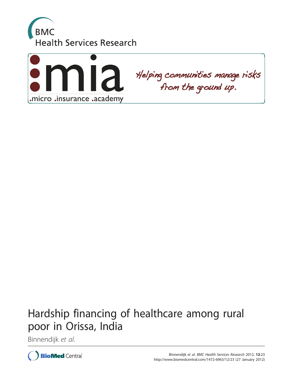



# Hardship financing of healthcare among rural poor in Orissa, India

Binnendijk et al.

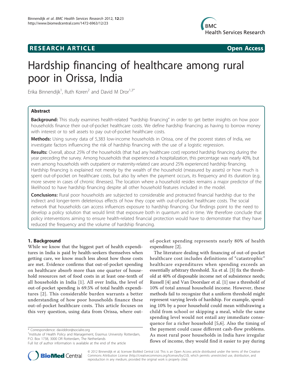

# **RESEARCH ARTICLE Example 2018 12:30 THE Open Access**



# Hardship financing of healthcare among rural poor in Orissa, India

Erika Binnendijk<sup>1</sup>, Ruth Koren<sup>2</sup> and David M Dror<sup>1,3\*</sup>

# Abstract

**Background:** This study examines health-related "hardship financing" in order to get better insights on how poor households finance their out-of-pocket healthcare costs. We define hardship financing as having to borrow money with interest or to sell assets to pay out-of-pocket healthcare costs.

Methods: Using survey data of 5,383 low-income households in Orissa, one of the poorest states of India, we investigate factors influencing the risk of hardship financing with the use of a logistic regression.

Results: Overall, about 25% of the households (that had any healthcare cost) reported hardship financing during the year preceding the survey. Among households that experienced a hospitalization, this percentage was nearly 40%, but even among households with outpatient or maternity-related care around 25% experienced hardship financing. Hardship financing is explained not merely by the wealth of the household (measured by assets) or how much is spent out-of-pocket on healthcare costs, but also by when the payment occurs, its frequency and its duration (e.g. more severe in cases of chronic illnesses). The location where a household resides remains a major predictor of the likelihood to have hardship financing despite all other household features included in the model.

**Conclusions:** Rural poor households are subjected to considerable and protracted financial hardship due to the indirect and longer-term deleterious effects of how they cope with out-of-pocket healthcare costs. The social network that households can access influences exposure to hardship financing. Our findings point to the need to develop a policy solution that would limit that exposure both in quantum and in time. We therefore conclude that policy interventions aiming to ensure health-related financial protection would have to demonstrate that they have reduced the frequency and the volume of hardship financing.

# 1. Background

While we know that the biggest part of health expenditures in India is paid by health-seekers themselves when getting care, we know much less about how those costs are met. Evidence confirms that out-of-pocket spending on healthcare absorb more than one quarter of household resources net of food costs in at least one-tenth of all households in India [\[1](#page-12-0)]. All over India, the level of out-of-pocket spending is 69.5% of total health expenditures [[2\]](#page-12-0). This considerable burden warrants a better understanding of how poor households finance these out-of-pocket healthcare costs. This article focuses on this very question, using data from Orissa, where out-



The literature dealing with financing of out-of-pocket healthcare cost includes definitions of "catastrophic" healthcare expenditures when spending exceeds an essentially arbitrary threshold. Xu et al. [[3\]](#page-12-0) fix the threshold at 40% of disposable income net of subsistence needs; Russell [\[4\]](#page-12-0) and Van Doorslaer et al. [\[1\]](#page-12-0) use a threshold of 10% of total annual household income. However, these methods fail to recognize that a uniform threshold might represent varying levels of hardship. For example, spending 10% by a poor household could mean withdrawing a child from school or skipping a meal, while the same spending level would not entail any immediate consequence for a richer household [[5,6](#page-12-0)]. Also the timing of the payment could cause different cash-flow problems. As most rural poor households in India have irregular flows of income, they would find it easier to pay during



© 2012 Binnendijk et al; licensee BioMed Central Ltd. This is an Open Access article distributed under the terms of the Creative Commons Attribution License [\(http://creativecommons.org/licenses/by/2.0](http://creativecommons.org/licenses/by/2.0)), which permits unrestricted use, distribution, and reproduction in any medium, provided the original work is properly cited.

<sup>\*</sup> Correspondence: [daviddror@socialre.org](mailto:daviddror@socialre.org)

<sup>&</sup>lt;sup>1</sup> Institute of Health Policy and Management, Erasmus University Rotterdam, P.O. Box 1738, 3000 DR Rotterdam, The Netherlands

Full list of author information is available at the end of the article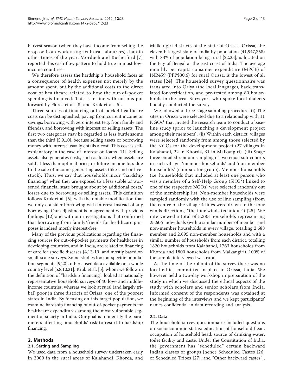harvest season (when they have income from selling the crop or from work as agricultural labourers) than in other times of the year. Morduch and Rutherford [[7](#page-12-0)] reported this cash-flow pattern to hold true in most lowincome countries.

We therefore assess the hardship a household faces as a consequence of health expenses not merely by the amount spent, but by the additional costs to the direct cost of healthcare related to how the out-of-pocket spending is financed. This is in line with notions put forward by Flores et al. [\[8](#page-12-0)] and Kruk et al. [[5](#page-12-0)].

Three sources of financing out-of-pocket healthcare costs can be distinguished: paying from current income or savings; borrowing with zero interest (e.g. from family and friends), and borrowing with interest or selling assets. The first two categories may be regarded as less burdensome than the third [\[5,9,10\]](#page-12-0), because selling assets or borrowing money with interest usually entails a cost. This cost is selfexplanatory in the case of interest on loans [[11](#page-12-0)]. Selling assets also generates costs, such as losses when assets are sold at less than optimal price, or future income loss due to the sale of income-generating assets (like land or livestock). Thus, we say that households incur "hardship financing" when they are exposed to a less stable or worsened financial state brought about by additional costs/ losses due to borrowing or selling assets. This definition follows Kruk et al. [\[5](#page-12-0)], with the notable modification that we only consider borrowing with interest instead of any borrowing. Our adjustment is in agreement with previous findings [\[12](#page-12-0)] and with our investigations that confirmed that borrowing from family/friends for healthcare purposes is indeed mostly interest-free.

Many of the previous publications regarding the financing sources for out-of-pocket payments for healthcare in developing countries, and in India, are related to financing of care for specific diseases [\[4,13](#page-12-0)-[19](#page-12-0)] and mostly based on small-scale surveys. Some studies look at specific population segments [\[9,20](#page-12-0)], others used data available on a whole country level [\[5,8,10,21\]](#page-12-0). Kruk et al. [\[5](#page-12-0)], whom we follow in the definition of "hardship financing", looked at nationally representative household surveys of 40 low- and middleincome countries, whereas we look at rural (and largely tribal) poor in three districts of Orissa, one of the poorest states in India. By focusing on this target population, we examine hardship financing of out-of-pocket payments for healthcare expenditures among the most vulnerable segment of society in India. Our goal is to identify the parameters affecting households' risk to resort to hardship financing.

# 2. Methods

# 2.1. Setting and Sampling

We used data from a household survey undertaken early in 2009 in the rural areas of Kalahandi, Khorda, and

Page 2 of 13

Malkangiri districts of the state of Orissa. Orissa, the eleventh largest state of India by population (41,947,358) with 83% of population being rural [[22](#page-12-0),[23](#page-12-0)], is located on the Bay of Bengal at the east coast of India. The average monthly per capita consumer expenditure (MPCE) of INR459 (PPP\$30.6) for rural Orissa, is the lowest of all states [[24](#page-12-0)]. The household survey questionnaire was translated into Oriya (the local language), back translated for verification, and pre-tested among 80 households in the area. Surveyors who spoke local dialects fluently conducted the survey.

We followed a three-stage sampling procedure. (i) The sites in Orissa were selected due to a relationship with 11  $NGOs<sup>1</sup>$  that invited the research team to conduct a baseline study (prior to launching a development project among their members). (ii) Within each district, villages were selected randomly from among those selected by the NGOs for the development project (27 villages in Kalahandi, 22 in Khorda, 31 in Malkangiri). (iii) Stage three entailed random sampling of two equal sub-cohorts in each village: 'member households' and 'non-member households' (comparator group). Member households (i.e. households that included at least one person who was a member of a Self-Help Group (SHG<sup>2</sup>) linked to one of the respective NGOs) were selected randomly out of the membership list. Non-member households were sampled randomly with the use of line sampling (from the centre of the village 4 lines were drawn in the four winds directions, "the four winds technique") [[25](#page-12-0)]. We interviewed a total of 5,383 households representing 25,606 individuals (with a similar number of member and non-member households in every village, totalling 2,688 member and 2,695 non-member households and with a similar number of households from each district, totalling 1820 households from Kalahandi, 1763 households from Khorda and 1800 households from Malkangiri). 100% of the sample interviewed was rural.

At the time of the rollout of the survey there was no local ethics committee in place in Orissa, India. We however held a two-day workshop in preparation of the study in which we discussed the ethical aspects of the study with scholars and senior scholars from India. Informed consent of the respondents was obtained at the beginning of the interviews and we kept participants' names confidential in data recording and analysis.

# 2.2. Data

The household survey questionnaire included questions on socioeconomic status: education of household head, occupation of household head, source of drinking water, toilet facility and caste. Under the Constitution of India, the government has "scheduled" certain backward Indian classes or groups [hence Scheduled Castes [\[26](#page-12-0)] or Scheduled Tribes [[27\]](#page-12-0), and "Other backward castes"],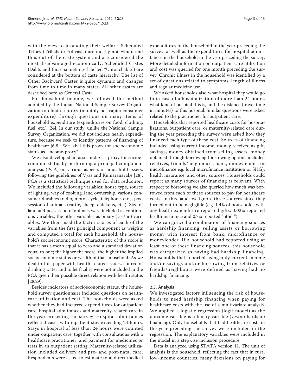with the view to promoting their welfare. Scheduled Tribes (Tribals or Adivasis) are mostly not Hindu and thus out of the caste system and are considered the most disadvantaged economically. Scheduled Castes (Dalits and those sometimes labelled "Untouchable") are considered at the bottom of caste hierarchy. The list of Other Backward Castes is quite dynamic and changes from time to time in many states. All other castes are described here as General Caste.

For household income, we followed the method adopted by the Indian National Sample Survey Organization to obtain a proxy (monthly per capita consumer expenditure) through questions on many items of household expenditure (expenditures on food, clothing, fuel, etc.) [\[24](#page-12-0)]. In our study, unlike the National Sample Survey Organization, we did not include health expenditure, because we seek to identify patterns of financing of healthcare [\[6,8](#page-12-0)]. We label this proxy for socioeconomic status as "income-proxy".

We also developed an asset-index as proxy for socioeconomic status by performing a principal component analysis (PCA) on various aspects of household assets, following the guidelines of Vyas and Kumaranayake [\[28](#page-12-0)]. PCA is a statistical technique used for data reduction. We included the following variables: house type, source of lighting, way of cooking, land ownership, various consumer durables (radio, motor cycle, telephone, etc.), possession of animals (cattle, sheep, chickens, etc.). Size of land and possession of animals were included as continuous variables, the other variables as binary (yes/no) variables. We then used the factor scores of each of the variables from the first principal component as weights and computed a total for each household: the household's socioeconomic score. Characteristic of this score is that it has a mean equal to zero and a standard deviation equal to one; the higher the score, the higher the implied socioeconomic status or wealth of that household. As we deal in this paper with health-related issues, source of drinking water and toilet facility were not included in the PCA given their possible direct relation with health status [[28,29\]](#page-12-0).

Besides indicators of socioeconomic status, the household survey questionnaire included questions on healthcare utilization and cost. The households were asked whether they had incurred expenditures for outpatient care, hospital admittances and maternity-related care in the year preceding the survey. Hospital admittances reflected cases with inpatient stay exceeding 24 hours. Stays in hospital of less than 24 hours were counted under outpatient care, together with consultations with a healthcare practitioner, and payment for medicines or tests in an outpatient setting. Maternity-related utilization included delivery and pre- and post-natal care. Respondents were asked to estimate total direct medical expenditures of the household in the year preceding the survey, as well as the expenditures for hospital admittances in the household in the year preceding the survey. More detailed information on outpatient care utilization and cost was queried for one month preceding the survey. Chronic illness in the household was identified by a set of questions related to symptoms, length of illness and regular medicine use.

We asked households also what hospital they would go to in case of a hospitalization of more than 24 hours, what kind of hospital this is, and the distance (travel time in minutes) to this hospital. Similar questions were asked related to the practitioner for outpatient care.

Households that reported healthcare costs for hospitalizations, outpatient care, or maternity-related care during the year preceding the survey were asked how they financed each type of these cost. Sources of financing included using current income, money received as gift, savings, money obtained from selling assets, money obtained through borrowing (borrowing options included relatives, friends/neighbours, bank, moneylender, or microfinance e.g. local microfinance institution or SHG), health insurance, and other sources. Households could report as many sources of financing as relevant. With respect to borrowing we also queried how much was borrowed from each of these sources to pay for healthcare costs. In this paper we ignore three sources since they turned out to be negligible (e.g. 1.4% of households with any health expenditure reported gifts, 0.02% reported health insurance and 0.7% reported "other").

We categorized a combination of financing sources as hardship financing: selling assets or borrowing money with interest from bank, microfinance or moneylender. If a household had reported using at least one of these financing sources, this household was categorized as having had hardship financing. Households that reported using only current income and/or savings and/or borrowing from relatives or friends/neighbours were defined as having had no hardship financing.

### 2.3. Analysis

We investigated factors influencing the risk of households to need hardship financing when paying for healthcare costs with the use of a multivariate analysis. We applied a logistic regression (logit model) as the outcome variable is a binary variable (yes/no hardship financing). Only households that had healthcare costs in the year preceding the survey were included in the regression. The explanatory variables were included in the model in a stepwise inclusion procedure

Data is analyzed using STATA version 11. The unit of analysis is the household, reflecting the fact that in rural low-income countries, many decisions on paying for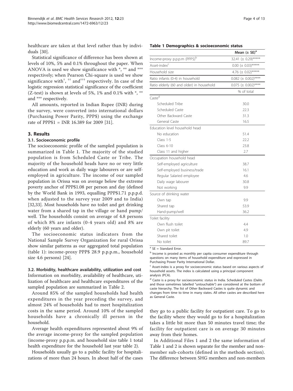<span id="page-4-0"></span>healthcare are taken at that level rather than by individuals [\[30](#page-12-0)].

Statistical significance of difference has been shown at levels of 10%, 5% and 0.1% throughout the paper. When ANOVA is used we show significance with \*, \*\* and \*\*\* respectively; when Pearson Chi-square is used we show significance with<sup>+</sup>, <sup>++</sup> and<sup>+++</sup> respectively. In case of the logistic regression statistical significance of the coefficient (Z-test) is shown at levels of 5%, 1% and 0.1% with \*, \*\* and \*\*\* respectively.

All amounts, reported in Indian Rupee (INR) during the survey, were converted into international dollars (Purchasing Power Parity, PPP\$) using the exchange rate of PPP\$1 = INR 16.389 for 2009 [[31](#page-12-0)].

## 3. Results

### 3.1. Socioeconomic profile

The socioeconomic profile of the sampled population is summarized in Table 1. The majority of the studied population is from Scheduled Caste or Tribe. The majority of the household heads have no or very little education and work as daily wage labourers or are selfemployed in agriculture. The income of our sampled population in Orissa was on average below the extreme poverty anchor of PPP\$1.08 per person and day (defined by the World Bank in 1993, equalling PPP\$1.71 p.p.p.d. when adjusted to the survey year 2009 and to India) [[32,33\]](#page-12-0). Most households have no toilet and get drinking water from a shared tap in the village or hand pump/ well. The households consist on average of 4.8 persons of which 8% are infants (0-4 years old) and 8% are elderly (60 years and older).

The socioeconomic status indicators from the National Sample Survey Organization for rural Orissa show similar patterns as our aggregated total population (table 1): income-proxy PPP\$ 28.9 p.p.p.m., household size 4.6 persons) [[24\]](#page-12-0).

3.2. Morbidity, healthcare availability, utilization and cost Information on morbidity, availability of healthcare, utilization of healthcare and healthcare expenditures of the sampled population are summarized in Table [2](#page-5-0).

Around 85% of the sampled households had health expenditures in the year preceding the survey, and almost 24% of households had to meet hospitalization costs in the same period. Around 10% of the sampled households have a chronically ill person in the household.

Average health expenditures represented about 9% of the average income-proxy for the sampled population (income-proxy p.p.p.m. and household size table 1 total health expenditure for the household last year table [2](#page-5-0)).

Households usually go to a public facility for hospitalizations of more than 24 hours. In about half of the cases

| Page 4 of 13 |  |  |
|--------------|--|--|
|              |  |  |

### Table 1 Demographics & socioeconomic status

|                                           | Mean $(\pm$ SE) <sup>a</sup> |  |  |
|-------------------------------------------|------------------------------|--|--|
| Income-proxy p.p.p.m (PPP\$) <sup>b</sup> | 32.41 (± 0.29)*****          |  |  |
| Asset-index <sup>c</sup>                  | $0.00 \ (\pm 0.03)^{***}$    |  |  |
| Household size                            | 4.76 (± 0.02)*****           |  |  |
| Ratio infants (0-4) in household          | 0.082 ( $\pm$ 0.002)****     |  |  |
| Ratio elderly (60 and older) in household | $0.075 \ (\pm 0.002)^{***}$  |  |  |
|                                           | % of total                   |  |  |
| Caste <sup>d</sup>                        |                              |  |  |
| Scheduled Tribe                           | 30.0                         |  |  |
| Scheduled Caste                           | 22.3                         |  |  |
| Other Backward Caste                      | 31.3                         |  |  |
| General Caste                             | 16.5                         |  |  |
| Education level household head            |                              |  |  |
| No education                              | 51.4                         |  |  |
| Class $1-5$                               | 22.2                         |  |  |
| $Class 6-10$                              | 23.8                         |  |  |
| Class 11 and higher                       | 2.7                          |  |  |
| Occupation household head                 |                              |  |  |
| Self-employed agriculture                 | 38.7                         |  |  |
| Self-employed business/trade              | 16.1                         |  |  |
| Regular Salaried employee                 | 4.6                          |  |  |
| Daily wage labourer                       | 30.8                         |  |  |
| Not working                               | 9.9                          |  |  |
| Source of drinking water                  |                              |  |  |
| Own tap                                   | 9.9                          |  |  |
| Shared tap                                | 53.9                         |  |  |
| Hand-pump/well                            | 36.2                         |  |  |
| Toilet facility                           |                              |  |  |
| Own flush toilet                          | 4.4                          |  |  |
| Own pit toilet                            | 4.9                          |  |  |
| Shared toilet                             | 1.0                          |  |  |
| No toilet                                 | 89.7                         |  |  |

 $a$  SE = Standard Error.

 $<sup>b</sup>$  Income is proxied as monthly per capita consumer expenditure through</sup> questions on many items of household expenditure and expressed in Purchasing Power Parity International Dollar.

<sup>c</sup> Asset-index is a proxy for socioeconomic status based on various aspects of household assets. The index is calculated using a principal component analysis (PCA).

<sup>d</sup> Caste is a proxy for socioeconomic status in India. Scheduled Castes (Dalits and those sometimes labelled "untouchable") are considered at the bottom of caste hierarchy. The list of Other Backward Castes is quite dynamic and changes from time to time in many states. All other castes are described here as General Caste.

they go to a public facility for outpatient care. To go to the facility where they would go to for a hospitalization takes a little bit more than 50 minutes travel time; the facility for outpatient care is on average 30 minutes away from their homes.

In Additional Files [1](#page-11-0) and [2](#page-11-0) the same information of Table 1 and [2](#page-5-0) is shown separate for the member and nonmember sub-cohorts (defined in the methods section). The difference between SHG members and non-members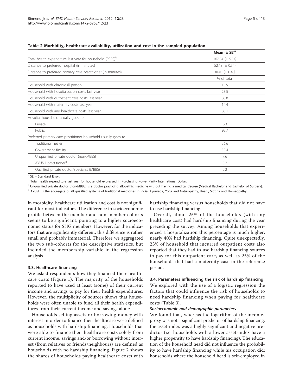|                                                                       | Mean $(\pm$ SE) <sup>a</sup> |
|-----------------------------------------------------------------------|------------------------------|
| Total health expenditure last year for household (PPP\$) <sup>b</sup> | $167.34 \ (\pm 5.14)$        |
| Distance to preferred hospital (in minutes)                           | 52.48 ( $\pm$ 0.54)          |
| Distance to preferred primary care practitioner (in minutes)          | 30.40 ( $\pm$ 0.40)          |
|                                                                       | % of total                   |
| Household with chronic ill person                                     | 10.5                         |
| Household with hospitalization costs last year                        | 23.5                         |
| Household with outpatient care costs last year                        | 83.8                         |
| Household with maternity costs last year                              | 14.4                         |
| Household with any healthcare costs last year                         | 85.1                         |
| Hospital household usually goes to                                    |                              |
| Private                                                               | 6.3                          |
| Public                                                                | 93.7                         |
| Preferred primary care practitioner household usually goes to         |                              |
| Traditional healer                                                    | 36.6                         |
| Government facility                                                   | 50.4                         |
| Unqualified private doctor (non-MBBS) <sup>c</sup>                    | 7.6                          |
| AYUSH practitioner <sup>d</sup>                                       | 3.2                          |
| Qualified private doctor/specialist (MBBS)                            | 2.2                          |

#### <span id="page-5-0"></span>Table 2 Morbidity, healthcare availability, utilization and cost in the sampled population

 $a$  SE = Standard Error.

<sup>b</sup> Total health expenditure last year for household expressed in Purchasing Power Parity International Dollar.

<sup>c</sup> Unqualified private doctor (non-MBBS) is a doctor practicing allopathic medicine without having a medical degree (Medical Bachelor and Bachelor of Surgery).

<sup>d</sup> AYUSH is the aggregate of all qualified systems of traditional medicines in India: Ayurveda, Yoga and Naturopathy, Unani, Siddha and Homeopathy.

in morbidity, healthcare utilization and cost is not significant for most indicators. The difference in socioeconomic profile between the member and non-member cohorts seems to be significant, pointing to a higher socioeconomic status for SHG members. However, for the indicators that are significantly different, this difference is rather small and probably immaterial. Therefore we aggregated the two sub-cohorts for the descriptive statistics, but included the membership variable in the regression analysis.

#### 3.3. Healthcare financing

We asked respondents how they financed their healthcare costs (Figure [1](#page-6-0)). The majority of the households reported to have used at least (some) of their current income and savings to pay for their health expenditures. However, the multiplicity of sources shows that households were often unable to fund all their health expenditures from their current income and savings alone.

Households selling assets or borrowing money with interest in order to finance their healthcare were defined as households with hardship financing. Households that were able to finance their healthcare costs solely from current income, savings and/or borrowing without interest (from relatives or friends/neighbours) are defined as households with no hardship financing. Figure [2](#page-6-0) shows the shares of households paying healthcare costs with hardship financing versus households that did not have to use hardship financing.

Overall, about 25% of the households (with any healthcare cost) had hardship financing during the year preceding the survey. Among households that experienced a hospitalization this percentage is much higher, nearly 40% had hardship financing. Quite unexpectedly, 23% of household that incurred outpatient costs also reported that they had to use hardship financing sources to pay for this outpatient care, as well as 25% of the households that had a maternity case in the reference period.

#### 3.4. Parameters influencing the risk of hardship financing

We explored with the use of a logistic regression the factors that could influence the risk of households to need hardship financing when paying for healthcare costs (Table [3](#page-7-0)).

#### Socioeconomic and demographic parameters

We found that, whereas the logarithm of the incomeproxy was not a significant predictor of hardship financing, the asset-index was a highly significant and negative predictor (i.e. households with a lower asset-index have a higher propensity to have hardship financing). The education of the household head did not influence the probability to have hardship financing while his occupation did; households where the household head is self-employed in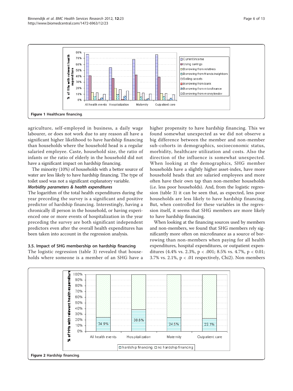<span id="page-6-0"></span>

agriculture, self-employed in business, a daily wage labourer, or does not work due to any reason all have a significant higher likelihood to have hardship financing than households where the household head is a regular salaried employee. Caste, household size, the ratio of infants or the ratio of elderly in the household did not have a significant impact on hardship financing.

The minority (10%) of households with a better source of water are less likely to have hardship financing. The type of toilet used was not a significant explanatory variable.

Morbidity parameters & health expenditures

The logarithm of the total health expenditures during the year preceding the survey is a significant and positive predictor of hardship financing. Interestingly, having a chronically ill person in the household, or having experienced one or more events of hospitalization in the year preceding the survey are both significant independent predictors even after the overall health expenditures has been taken into account in the regression analysis.

# 3.5. Impact of SHG membership on hardship financing

The logistic regression (table [3](#page-7-0)) revealed that households where someone is a member of an SHG have a higher propensity to have hardship financing. This we found somewhat unexpected as we did not observe a big difference between the member and non-member sub-cohorts in demographics, socioeconomic status, morbidity, healthcare utilization and costs. Also the direction of the influence is somewhat unexpected. When looking at the demographics, SHG member households have a slightly higher asset-index, have more household heads that are salaried employees and more often have their own tap than non-member households (i.e. less poor households). And, from the logistic regression (table [3\)](#page-7-0) it can be seen that, as expected, less poor households are less likely to have hardship financing. But, when controlled for these variables in the regression itself, it seems that SHG members are more likely to have hardship financing.

When looking at the financing sources used by members and non-members, we found that SHG members rely significantly more often on microfinance as a source of borrowing than non-members when paying for all health expenditures, hospital expenditures, or outpatient expenditures (4.4% vs. 2.3%, p < .001; 8.5% vs. 4.7%, p < 0.01; 3.7% vs. 2.1%,  $p < 0.01$  respectively, Chi2). Non-members

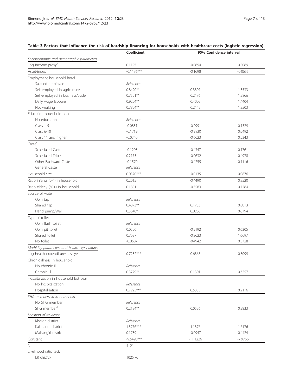|                                              | Coefficient  | 95% Confidence interval |           |  |
|----------------------------------------------|--------------|-------------------------|-----------|--|
| Socioeconomic and demographic parameters     |              |                         |           |  |
| Log income-proxy <sup>a</sup>                | 0.1197       | $-0.0694$               | 0.3089    |  |
| Asset-index <sup>b</sup>                     | $-0.1176***$ | $-0.1698$               | $-0.0655$ |  |
| Employment household head                    |              |                         |           |  |
| Salaried employee                            | Reference    |                         |           |  |
| Self-employed in agriculture                 | $0.8420**$   | 0.3307                  | 1.3533    |  |
| Self-employed in business/trade              | $0.7521**$   | 0.2176                  | 1.2866    |  |
| Daily wage labourer                          | $0.9204**$   | 0.4005                  | 1.4404    |  |
| Not working                                  | $0.7824**$   | 0.2145                  | 1.3503    |  |
| Education household head                     |              |                         |           |  |
| No education                                 | Reference    |                         |           |  |
| Class 1-5                                    | $-0.0831$    | $-0.2991$               | 0.1329    |  |
| Class 6-10                                   | $-0.1719$    | $-0.3930$               | 0.0492    |  |
| Class 11 and higher                          | $-0.0340$    | $-0.6023$               | 0.5343    |  |
| $\text{Caste}^c$                             |              |                         |           |  |
| Scheduled Caste                              | $-0.1293$    | $-0.4347$               | 0.1761    |  |
| Scheduled Tribe                              | 0.2173       | $-0.0632$               | 0.4978    |  |
| Other Backward Caste                         | $-0.1570$    | $-0.4255$               | 0.1116    |  |
| General Caste                                | Reference    |                         |           |  |
| Household size                               | $0.0370***$  | $-0.0135$               | 0.0876    |  |
| Ratio infants (0-4) in household             | 0.2015       | $-0.4490$               | 0.8520    |  |
| Ratio elderly (60+) in household             | 0.1851       | $-0.3583$               | 0.7284    |  |
| Source of water                              |              |                         |           |  |
| Own tap                                      | Reference    |                         |           |  |
| Shared tap                                   | $0.4873**$   | 0.1733                  | 0.8013    |  |
| Hand pump/Well                               | $0.3540*$    | 0.0286                  | 0.6794    |  |
| Type of toilet                               |              |                         |           |  |
| Own flush toilet                             | Reference    |                         |           |  |
| Own pit toilet                               | 0.0556       | $-0.5192$               | 0.6305    |  |
| Shared toilet                                | 0.7037       | $-0.2623$               | 1.6697    |  |
| No toilet                                    | $-0.0607$    | $-0.4942$               | 0.3728    |  |
| Morbidity parameters and health expenditures |              |                         |           |  |
| Log health expenditures last year            | $0.7232***$  | 0.6365                  | 0.8099    |  |
| Chronic illness in household                 |              |                         |           |  |
| No chronic ill                               | Reference    |                         |           |  |
| Chronic ill                                  | $0.3779**$   | 0.1301                  | 0.6257    |  |
| Hospitalization in household last year       |              |                         |           |  |
| No hospitalization                           | Reference    |                         |           |  |
| Hospitalization                              | $0.7225***$  | 0.5335                  | 0.9116    |  |
| SHG membership in household                  |              |                         |           |  |
| No SHG member                                | Reference    |                         |           |  |
| SHG member <sup>d</sup>                      | $0.2184**$   | 0.0536                  | 0.3833    |  |
| Location of residence                        |              |                         |           |  |
| Khorda district                              | Reference    |                         |           |  |
| Kalahandi district                           | 1.3776***    | 1.1376                  | 1.6176    |  |
| Malkangiri district                          | 0.1739       | $-0.0947$               | 0.4424    |  |
| Constant                                     | $-9.5496***$ | $-11.1226$              | $-7.9766$ |  |
| $\mathbb N$                                  | 4121         |                         |           |  |
| Likelihood ratio test:                       |              |                         |           |  |
| LR chi2(27)                                  | 1025.76      |                         |           |  |

# <span id="page-7-0"></span>Table 3 Factors that influence the risk of hardship financing for households with healthcare costs (logistic regression)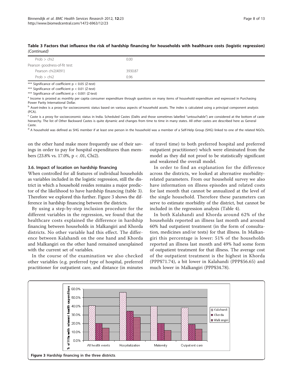Table 3 Factors that influence the risk of hardship financing for households with healthcare costs (logistic regression) (Continued)

Significance of coefficient  $p < 0.05$  (Z-test)

\*\*\* Significance of coefficient p < 0.01 (Z-test)

\*\*\* Significance of coefficient p < 0.001 (Z-test)

<sup>a</sup> Income is proxied as monthly per capita consumer expenditure through questions on many items of household expenditure and expressed in Purchasing Power Parity International Dollar.

<sup>b</sup> Asset-index is a proxy for socioeconomic status based on various aspects of household assets. The index is calculated using a principal component analysis (PCA).

<sup>c</sup> Caste is a proxy for socioeconomic status in India. Scheduled Castes (Dalits and those sometimes labelled "untouchable") are considered at the bottom of caste hierarchy. The list of Other Backward Castes is quite dynamic and changes from time to time in many states. All other castes are described here as General Caste

<sup>d</sup> A household was defined as SHG member if at least one person in the household was a member of a Self-Help Group (SHG) linked to one of the related NGOs.

on the other hand make more frequently use of their savings in order to pay for hospital expenditures than members (23.8% vs. 17.0%, p < .01, Chi2).

## 3.6. Impact of location on hardship financing

When controlled for all features of individual households as variables included in the logistic regression, still the district in which a household resides remains a major predictor of the likelihood to have hardship financing (table [3](#page-7-0)). Therefore we explored this further. Figure 3 shows the difference in hardship financing between the districts.

By using a step-by-step inclusion procedure for the different variables in the regression, we found that the healthcare costs explained the difference in hardship financing between households in Malkangiri and Khorda districts. No other variable had this effect. The difference between Kalahandi on the one hand and Khorda and Malkangiri on the other hand remained unexplained with the current set of variables.

In the course of the examination we also checked other variables (e.g. preferred type of hospital, preferred practitioner for outpatient care, and distance (in minutes

of travel time) to both preferred hospital and preferred outpatient practitioner) which were eliminated from the model as they did not proof to be statistically significant and weakened the overall model.

In order to find an explanation for the difference across the districts, we looked at alternative morbidityrelated parameters. From our household survey we also have information on illness episodes and related costs for last month that cannot be annualized at the level of the single household. Therefore these parameters can serve to estimate morbidity of the district, but cannot be included in the regression analysis (Table [4](#page-9-0)).

In both Kalahandi and Khorda around 62% of the households reported an illness last month and around 60% had outpatient treatment (in the form of consultation, medicines and/or tests) for that illness. In Malkangiri this percentage is lower: 51% of the households reported an illness last month and 49% had some form of outpatient treatment for that illness. The average cost of the outpatient treatment is the highest in Khorda (PPP\$71.74), a bit lower in Kalahandi (PPP\$56.65) and much lower in Malkangiri (PPP\$34.78).

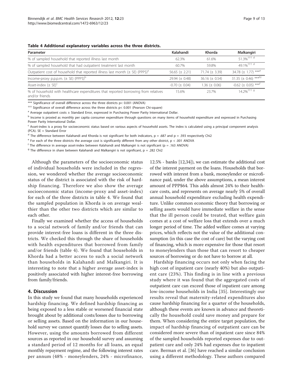#### <span id="page-9-0"></span>Table 4 Additional explanatory variables across the three districts.

| Parameter                                                                                            | Kalahandi             | Khorda               | Malkangiri                 |
|------------------------------------------------------------------------------------------------------|-----------------------|----------------------|----------------------------|
| % of sampled household that reported illness last month                                              | 62.3%                 | 61.6%                | $513\%$ <sup>+++ d</sup>   |
| % of sampled household that had outpatient treatment last month                                      | 60.7%                 | 59.8%                | 49.1% <sup>††† d</sup>     |
| Outpatient cost of household that reported illness last month ( $\pm$ SE) (PPP\$) <sup>a</sup>       | 56.65 ( $\pm$ 2.21)   | $71.74 \ (\pm 3.39)$ | 34.78 ( $\pm$ 1.77) ****   |
| Income-proxy p.p.p.m. (± SE) (PPP\$) <sup>b</sup>                                                    | 29.94 ( $\pm$ 0.48)   | $36.16 \ (\pm 0.54)$ | 31.35 ( $\pm$ 0.46) ***b)  |
| Asset-index $(\pm$ SE) <sup>c</sup>                                                                  | $-0.70$ ( $\pm$ 0.04) | $1.36 \ (\pm 0.06)$  | $-0.62 \ (\pm 0.05)^{***}$ |
| % of household with healthcare expenditures that reported borrowing from relatives<br>and/or friends | 15.6%                 | 23.7%                | $14.2\%$ <sup>+++ g</sup>  |

\*\*\* Significance of overall difference across the three districts p< 0.001 (ANOVA)

††† Significance of overall difference across the three districts p< 0.001 (Pearson Chi-square)

 $a$  Average outpatient costs  $\pm$  Standard Error, expressed in Purchasing Power Parity International Dollar.

<sup>b</sup> Income is proxied as monthly per capita consumer expenditure through questions on many items of household expenditure and expressed in Purchasing Power Parity International Dollar.

<sup>c</sup> Asset-index is a proxy for socioeconomic status based on various aspects of household assets. The index is calculated using a principal component analysis (PCA). SE = Standard Error

<sup>d</sup> The difference between Kalahandi and Khorda is not significant for both indicators,  $p = .687$  and  $p = .593$  respectively Chi2

<sup>e</sup> For each of the three districts the average cost is significantly different from any other district, p < .001 ANOVA

 $f$  The difference in average asset-index between Kalahandi and Malkangiri is not significant (p = .163 ANOVA)

<sup>9</sup> The difference in share between Kalahandi and Malkangiri is not significant,  $p = .282$  Chi2

Although the parameters of the socioeconomic status of individual households were included in the regression, we wondered whether the average socioeconomic status of the district is associated with the risk of hardship financing. Therefore we also show the average socioeconomic status (income-proxy and asset-index) for each of the three districts in table 4. We found that the sampled population in Khorda is on average wealthier than the other two districts which are similar to each other.

Finally we examined whether the access of households to a social network of family and/or friends that can provide interest-free loans is different in the three districts. We checked this through the share of households with health expenditures that borrowed from family and/or friends (table 4). We found that households in Khorda had a better access to such a social network than households in Kalahandi and Malkangiri. It is interesting to note that a higher average asset-index is positively associated with higher interest-free borrowing from family/friends.

#### 4. Discussion

In this study we found that many households experienced hardship financing. We defined hardship financing as being exposed to a less stable or worsened financial state brought about by additional costs/losses due to borrowing or selling assets. Based on the information in our household survey we cannot quantify losses due to selling assets. However, using the amounts borrowed from different sources as reported in our household survey and assuming a standard period of 12 months for all loans, an equal monthly repayment regime, and the following interest rates per annum (48% - moneylenders, 24% - microfinance,

12.5% - banks [\[12,34](#page-12-0)]), we can estimate the additional cost of the interest payment on the loans. Households that borrowed with interest from a bank, moneylender or microfinance paid, under the above assumptions, a mean interest amount of PPP\$64. This adds almost 24% to their healthcare costs, and represents on average nearly 5% of overall annual household expenditure excluding health expenditure. Unlike common economic theory that borrowing or selling assets would have immediate welfare in the sense that the ill person could be treated, that welfare gain comes at a cost of welfare loss that extends over a much longer period of time. The added welfare comes at varying prices, which reflects not the value of the additional consumption (in this case the cost of care) but the varying cost of financing, which is more expensive for those that resort to moneylenders than those that can resort to cheaper sources of borrowing or do not have to borrow at all.

Hardship financing occurs not only when facing the high cost of inpatient care (nearly 40%) but also outpatient care (23%). This finding is in line with a previous study where it was found that the aggregated costs of outpatient care can exceed those of inpatient care among low-income households in India [\[35\]](#page-12-0). Interestingly our results reveal that maternity-related expenditures also cause hardship financing for a quarter of the households, although these events are known in advance and theoretically the household could save money and prepare for them. When considering the entire target population, the impact of hardship financing of outpatient care can be considered more severe than of inpatient care since 84% of the sampled households reported expenses due to outpatient care and only 24% had expenses due to inpatient care. Berman et al. [\[36\]](#page-12-0) have reached a similar conclusion using a different methodology. These authors compared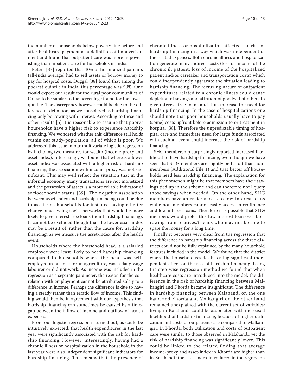the number of households below poverty line before and after healthcare payment as a definition of impoverishment and found that outpatient care was more impoverishing than inpatient care for households in India.

Peters [[37](#page-13-0)] reported that 40% of hospitalized patients (all-India average) had to sell assets or borrow money to pay for hospital costs. Duggal [[38](#page-13-0)] found that among the poorest quintile in India, this percentage was 50%. One would expect our result for the rural poor communities of Orissa to be similar to the percentage found for the lowest quintile. The discrepancy however could be due to the difference in definition, as we considered as hardship financing only borrowing with interest. According to these and other results [[5](#page-12-0)] it is reasonable to assume that poorer households have a higher risk to experience hardship financing. We wondered whether this difference still holds within our study-population, all of which is poor. We addressed this issue in our multivariate logistic regression by including two measures for wealth (income-proxy and asset-index). Interestingly we found that whereas a lower asset-index was associated with a higher risk of hardship financing, the association with income-proxy was not significant. This may well reflect the situation that in the informal economy many transactions are not monetized and the possession of assets is a more reliable indicator of socioeconomic status [[39](#page-13-0)]. The negative association between asset-index and hardship financing could be due to asset-rich households for instance having a better chance of accessing social networks that would be more likely to give interest-free loans (non-hardship financing). It cannot be excluded though that the lower asset-index may be a result of, rather than the cause for, hardship financing, as we measure the asset-index after the health event.

Households where the household head is a salaried employee were least likely to need hardship financing compared to households where the head was selfemployed in business or in agriculture, was a daily-wage labourer or did not work. As income was included in the regression as a separate parameter, the reason for the correlation with employment cannot be attributed solely to a difference in income. Perhaps the difference is due to having a steady rather than erratic flow of income. This finding would then be in agreement with our hypothesis that hardship financing can sometimes be caused by a timegap between the inflow of income and outflow of health expenses.

From our logistic regression it turned out, as could be intuitively expected, that health expenditures in the last year were significantly associated with the risk for hardship financing. However, interestingly, having had a chronic illness or hospitalization in the household in the last year were also independent significant indicators for hardship financing. This means that the presence of chronic illness or hospitalization affected the risk of hardship financing in a way which was independent of the related expenses. Both chronic illness and hospitalization generate many indirect costs (loss of income of the chronic ill patient, loss of income of the hospitalized patient and/or caretaker and transportation costs) which could independently aggravate the situation leading to hardship financing. The recurring nature of outpatient expenditures related to a chronic illness could cause depletion of savings and attrition of goodwill of others to give interest-free loans and thus increase the need for hardship financing. In the case of hospitalizations one should note that poor households usually have to pay (some) costs upfront before admission to or treatment in hospital [\[38](#page-13-0)]. Therefore the unpredictable timing of hospital care and immediate need for large funds associated with such an event could increase the risk of hardship financing.

SHG membership surprisingly reported increased likelihood to have hardship financing, even though we have seen that SHG members are slightly better off than nonmembers (Additional File [1](#page-11-0)) and that better off households need less hardship financing. The explanation for this phenomenon might be that members have their savings tied up in the scheme and can therefore not liquefy those savings when needed. On the other hand, SHG members have an easier access to low-interest loans while non-members cannot easily access microfinance and low-interest loans. Therefore it is possible that SHG members would prefer this low-interest loan over borrowing from relatives/friends who may not be able to spare the money for a long time.

Finally it becomes very clear from the regression that the difference in hardship financing across the three districts could not be fully explained by the many household features included in the model. We found that the district where the household resides has a big significant independent effect on the risk of hardship financing. Using the step-wise regression method we found that when healthcare costs are introduced into the model, the difference in the risk of hardship financing between Malkangiri and Khorda became insignificant. The difference in hardship financing between Kalahandi on the one hand and Khorda and Malkangiri on the other hand remained unexplained with the current set of variables: living in Kalahandi could be associated with increased likelihood of hardship financing, because of higher utilization and costs of outpatient care compared to Malkangiri. In Khorda, both utilization and costs of outpatient care were similar to those observed in Kalahandi, yet the risk of hardship financing was significantly lower. This could be linked to the related finding that average income-proxy and asset-index in Khorda are higher than in Kalahandi (the asset index introduced in the regression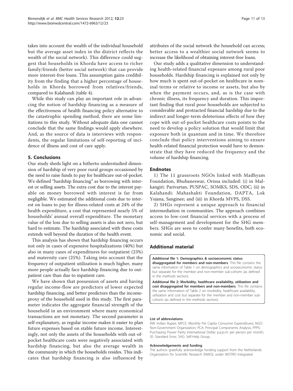<span id="page-11-0"></span>takes into account the wealth of the individual household but the average asset index in the district reflects the wealth of the social network). This difference could suggest that households in Khorda have access to richer family/friends (better social network) that can provide more interest-free loans. This assumption gains credibility from the finding that a higher percentage of households in Khorda borrowed from relatives/friends, compared to Kalahandi (table [4](#page-9-0)).

While this study can play an important role in advancing the notion of hardship financing as a measure of the effectiveness of health financing policy alternative to the catastrophic spending method, there are some limitations to this study. Without adequate data one cannot conclude that the same findings would apply elsewhere. And, as the source of data is interviews with respondents, the regular limitations of self-reporting of incidence of illness and cost of care apply.

## 5. Conclusions

Our study sheds light on a hitherto understudied dimension of hardship of very poor rural groups occasioned by the need to raise funds to pay for healthcare out-of-pocket. We defined "hardship financing" as borrowing with interest or selling assets. The extra cost due to the interest payable on money borrowed with interest is far from negligible. We estimated the additional costs due to interest on loans to pay for illness-related costs at 24% of the health expenditure, a cost that represented nearly 5% of households' annual overall expenditure. The monetary value of the loss due to selling assets is also not zero, but hard to estimate. The hardship associated with these costs extends well beyond the duration of the health event.

This analysis has shown that hardship financing occurs not only in cases of expensive hospitalizations (40%) but also in many cases of expenditures for outpatient (23%) and maternity care (25%). Taking into account that the frequency of outpatient utilization is much higher, many more people actually face hardship financing due to outpatient care than due to inpatient care.

We have shown that possession of assets and having regular income-flow are predictors of lower expected hardship financing, and better predictors than the incomeproxy of the household used in this study. The first parameter indicates the aggregate financial strength of the household in an environment where many economical transactions are not monetary. The second parameter is self-explanatory, as regular income makes it easier to plan future expenses based on stable future income. Interestingly, not only the assets of the households with out-ofpocket healthcare costs were negatively associated with hardship financing, but also the average wealth in the community in which the households resides. This indicates that hardship financing is also influenced by

Our study adds a qualitative dimension to understanding health-related financial exposure among rural poor households. Hardship financing is explained not only by how much is spent out-of-pocket on healthcare in nominal terms or relative to income or assets, but also by when the payment occurs, and, as is the case with chronic illness, its frequency and duration. This important finding that rural poor households are subjected to considerable and protracted financial hardship due to the indirect and longer-term deleterious effects of how they cope with out-of-pocket healthcare costs points to the need to develop a policy solution that would limit that exposure both in quantum and in time. We therefore conclude that policy interventions aiming to ensure health-related financial protection would have to demonstrate that they have reduced the frequency and the volume of hardship financing.

### Endnotes

1) The 11 grassroots NGOs linked with Madhyam Foundation, Bhubaneswar, Orissa included: (i) in Malkangiri: Parivartan, PUSPAC, SOMKS, SDS, ODC; (ii) in Kalahandi: Mahashakti Foundation, DAPTA, Lok Yojana, Sanginee; and (iii) in Khorda MVPS, DSS.

2) SHGs represent a unique approach to financial intermediation in communities. The approach combines access to low-cost financial services with a process of self-management and development for the SHG members. SHGs are seen to confer many benefits, both economic and social.

## Additional material

#### [Additional file 1: D](http://www.biomedcentral.com/content/supplementary/1472-6963-12-23-S1.DOC)emographics & socioeconomic status

disaggregated for members and non-members. This file contains the same information of Table [1](#page-4-0) on demographics and socioeconomic status but separate for the member and non-member sub-cohorts (as defined in the methods section).

[Additional file 2: M](http://www.biomedcentral.com/content/supplementary/1472-6963-12-23-S2.DOC)orbidity, healthcare availability, utilization and cost disaggregated for members and non-members. This file contains the same information of Table [2](#page-5-0) on morbidity, healthcare availability, utilization and cost but separate for the member and non-member subcohorts (as defined in the methods section).

#### List of abbreviations

INR: Indian Rupee; MPCE: Monthly Per Capita Consumer Expenditures; NGO: Non-Government Organization; PCA: Principal Components Analysis; PPP\$: Purchasing Power Parity International Dollar; p.p.p.m: per person per month; SE: Standard Error; SHG: Self-Help Group.

#### Acknowledgements and funding

The authors gratefully acknowledge funding support from the Netherlands Organization for Scientific Research (NWO), under WOTRO Integrated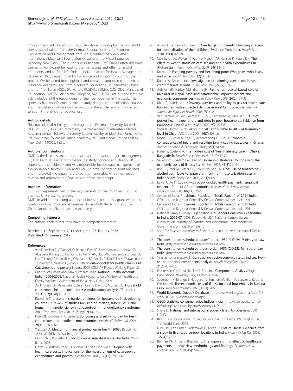<span id="page-12-0"></span>Programme grant No. W01.65.309.00. Additional funding for the household survey was obtained from the German Federal Ministry for Economic Cooperation and Development (through a contract between AWO International, Madhyam Foundation Orissa, and the Micro Insurance Academy New Delhi). The authors wish to thank Prof. Frans Rutten (Erasmus University Rotterdam) for reading the manuscript and offering helpful comments, and to Prof. P.R. Sodani (Indian Institute for Health Management Research-IIHMR, Jaipur, India) for his advice and support throughout the project. We benefited from logistical and research support from the Micro Insurance Academy, and from Madhyam Foundation Bhubaneswar, Orissa and its 11 affiliated NGOs (Parivartan, PUSPAC, SOMKS, SDS, ODC, Mahashakti Foundation, DAPTA, Lok Yojana, Sanginee, MVPS, DSS). Last but not least, we acknowledge all the respondents for their participation in the study. The sponsors had no influence or role in study design, in the collection, analysis and interpretation of data; in the writing of the article; and in the decision to submit the article for publication.

#### Author details

<sup>1</sup>Institute of Health Policy and Management, Erasmus University Rotterdam, P.O. Box 1738, 3000 DR Rotterdam, The Netherlands. <sup>2</sup>Felsenstein Medical Research Center, Tel Aviv University Sackler Faculty of Medicine, Ramat Aviv, Tel Aviv, Israel. <sup>3</sup>Micro Insurance Academy, 246 Sant Nagar, East of Kailash, New Delhi 110065, India.

#### Authors' contributions

DMD is the lead researcher and responsible for overall project management. EB, DMD and RK are responsible for the study concept and design. EB supervised the fieldwork and was responsible for the data management of the household survey. EB, RK and DMD (in order of contribution) analysed and interpreted the data and drafted the manuscript. All authors read, revised and approved the final version of the manuscript.

#### Authors' information

This work represents part of the requirements for the PhD thesis of EB at Erasmus University Rotterdam.

DMD, in addition to acting as principal investigator on this grant within his position as hon. Professor at Erasmus University Rotterdam, is also the Chairman of the Micro Insurance Academy.

#### Competing interests

The authors declare that they have no competing interests.

Received: 12 September 2011 Accepted: 27 January 2012 Published: 27 January 2012

#### References

- 1. Van Doorslaer E, O'Donnell O, Rannan-Eliya RP, Somanathan A, Adhikari SR, Akkazieva B, Garg CC, Harbianto D, Herrin AN, Huq MN, Ibragimova S, Karan A, Lee T, Leung GM, Lu JR, Ng CW, Pande BR, Racelis R, Tao S, Tin K, Tisayaticom K, Trisnantoro L, Vasavid C, Zhao Y: Paying out-of-pocket for health care in Asia: Catastrophic and poverty impact. 2005, EQUITAP Project: Working Paper #2.
- 2. Ministry of Health and Family Welfare India: National Health Accounts, India - 2004/2005. National Health Accounts Cell, Ministry of Health and Family Welfare, Government of India, New Delhi; 2009.
- Xu K, Evans DB, Kawabata K, Zeramdini R, Klavus J, Murray CJL: Household catastrophic health expenditure: A multicountry analysis. The Lancet 2003, 362(9378):111-117.
- 4. Russell S: [The economic burden of illness for households in developing](http://www.ncbi.nlm.nih.gov/pubmed/15331831?dopt=Abstract) [countries: A review of studies focusing on malaria, tuberculosis, and](http://www.ncbi.nlm.nih.gov/pubmed/15331831?dopt=Abstract) [human immunodeficiency virus/acquired immunodeficiency syndrome.](http://www.ncbi.nlm.nih.gov/pubmed/15331831?dopt=Abstract) Am J Trop Med Hyg 2004, 71(Suppl 2):147-55.
- 5. Kruk ME, Goldmann E, Galea S: Borrowing and selling to pay for health care in low- and middle-income countries. Health Aff (Millwood) 2009, 28(4):1056-1066.
- Wagstaff A: Measuring financial protection in health 2008., Report No. 4554, World Bank, Washington (DC).
- 7. Morduch J, Rutherford S: Microfinance: Analytical issues for India. World Bank; 2003.
- 8. Flores G, Krishnakumar J, O'Donnell O, van Doorslaer E: [Coping with](http://www.ncbi.nlm.nih.gov/pubmed/18246595?dopt=Abstract) [health-care costs: implications for the measurement of catastrophic](http://www.ncbi.nlm.nih.gov/pubmed/18246595?dopt=Abstract) [expenditures and poverty.](http://www.ncbi.nlm.nih.gov/pubmed/18246595?dopt=Abstract) Health Econ 2008, 17(12):1393-1412.
- 9. Asfaw A, Lamanna F, Klasen S: [Gender gap in parents](http://www.ncbi.nlm.nih.gov/pubmed/19267357?dopt=Abstract)' financing strategy [for hospitalization of their children: Evidence from India.](http://www.ncbi.nlm.nih.gov/pubmed/19267357?dopt=Abstract) Health Econ 2010, 19(3):265-79.
- 10. Steinhardt LC, Waters H, Rao KD, Naeem AJ, Hansen P, Peters DH: [The](http://www.ncbi.nlm.nih.gov/pubmed/19060032?dopt=Abstract) [effect of wealth status on care seeking and health expenditures in](http://www.ncbi.nlm.nih.gov/pubmed/19060032?dopt=Abstract) [Afghanistan.](http://www.ncbi.nlm.nih.gov/pubmed/19060032?dopt=Abstract) Health Policy Plan 2009, 24(1):1-17.
- 11. Krishna A: Escaping poverty and becoming poor: Who gains, who loses, and why? World Dev 2004, 32(1):121-136.
- 12. Kochar A: An empirical investigation of rationing constraints in rural credit markets in India. J Dev Econ 1997, 53(2):339-371.
- 13. Adhikari SR, Maskay NM, Sharma BP: [Paying for hospital-based care of](http://www.ncbi.nlm.nih.gov/pubmed/19181674?dopt=Abstract) [Kala-azar in Nepal: Assessing catastrophic, impoverishment and](http://www.ncbi.nlm.nih.gov/pubmed/19181674?dopt=Abstract) [economic consequences.](http://www.ncbi.nlm.nih.gov/pubmed/19181674?dopt=Abstract) Health Policy Plan 2009, 24(2):129-39.
- 14. Khun S, Manderson L: [Poverty, user fees and ability to pay for health care](http://www.ncbi.nlm.nih.gov/pubmed/18439268?dopt=Abstract) [for children with suspected dengue in rural Cambodia.](http://www.ncbi.nlm.nih.gov/pubmed/18439268?dopt=Abstract) International Journal for Equity in Health 2008, 7(1):10.
- 15. Van Damme W, Van Leemput L, Por I, Hardeman W, Meessen B: [Out-of](http://www.ncbi.nlm.nih.gov/pubmed/15040566?dopt=Abstract)[pocket health expenditure and debt in poor households: Evidence from](http://www.ncbi.nlm.nih.gov/pubmed/15040566?dopt=Abstract) [Cambodia.](http://www.ncbi.nlm.nih.gov/pubmed/15040566?dopt=Abstract) Trop Med Int Health 2004, 9(2):273-80.
- 16. Wyss K, Hutton G, N'Diekhor Y: [Costs attributable to AIDS at household](http://www.ncbi.nlm.nih.gov/pubmed/15385235?dopt=Abstract) [level in Chad.](http://www.ncbi.nlm.nih.gov/pubmed/15385235?dopt=Abstract) AIDS Care 2004, 16(7):808-16.
- 17. Mock CN, Gloyd S, Adjei S, Acheampong F, Gish O: [Economic](http://www.ncbi.nlm.nih.gov/pubmed/22288055?dopt=Abstract) [consequences of injury and resulting family coping strategies in Ghana.](http://www.ncbi.nlm.nih.gov/pubmed/22288055?dopt=Abstract) Accident Analysis & Prevention 2003, 35(1):81-90.
- 18. Nahar S, Costello A: The hidden cost of 'free' [maternity care in Dhaka,](http://www.ncbi.nlm.nih.gov/pubmed/10346033?dopt=Abstract) [Bangladesh.](http://www.ncbi.nlm.nih.gov/pubmed/10346033?dopt=Abstract) Health Policy Plan 1998, 13(4):417-22.
- 19. Sauerborn R, Adams A, Hien M: [Household strategies to cope with the](http://www.ncbi.nlm.nih.gov/pubmed/8844932?dopt=Abstract) [economic costs of illness.](http://www.ncbi.nlm.nih.gov/pubmed/8844932?dopt=Abstract) Soc Sci Med 1996, 43(3):291-301.
- 20. Bonu S, Rani M, Peters DH, Jha P, Nguyen SN: [Does use of tobacco or](http://www.ncbi.nlm.nih.gov/pubmed/15689429?dopt=Abstract) [alcohol contribute to impoverishment from hospitalization costs in](http://www.ncbi.nlm.nih.gov/pubmed/15689429?dopt=Abstract) [India?](http://www.ncbi.nlm.nih.gov/pubmed/15689429?dopt=Abstract) Health Policy Plan 2005, 20(1):41-9.
- 21. Leive A, Xu K: [Coping with out-of-pocket health payments: Empirical](http://www.ncbi.nlm.nih.gov/pubmed/19030690?dopt=Abstract) [evidence from 15 African countries.](http://www.ncbi.nlm.nih.gov/pubmed/19030690?dopt=Abstract) Bulletin of the World Health Organization 2008, 86(11):849-56.
- 22. Census of India: Provisional Population Totals Paper 1 of 2011 India. Office of the Registrar General & Census Commissioner, India; 2011.
- 23. Census of India: Provisional Population Totals Paper 2 of 2011 India. Office of the Registrar General & Census Commissioner, India; 2011.
- 24. National Sample Survey Organization: Household Consumer Expenditure in India, 2006-07. 2008, Report No. 527, National Sample Survey Organization, Ministry of Statistics and Programme Implementation, Government of India, New Delhi.
- 25. Som RK: Practical sampling techniques. 2 edition. New York: Marcel Dekker; 1996.
- 26. The constitution (scheduled castes) order, 1950 (C.O.19), Ministry of Law India. [[http://lawmin.nic.in/ld/subord/rule3a.htm\]](http://lawmin.nic.in/ld/subord/rule3a.htm).
- 27. The constitution (scheduled tribes) order, 1950 (C.O.22), Ministry of Law India. [[http://lawmin.nic.in/ld/subord/rule9a.htm\]](http://lawmin.nic.in/ld/subord/rule9a.htm).
- 28. Vyas S, Kumaranayake L: [Constructing socio-economic status indices: How](http://www.ncbi.nlm.nih.gov/pubmed/17030551?dopt=Abstract) [to use principal components analysis.](http://www.ncbi.nlm.nih.gov/pubmed/17030551?dopt=Abstract) Health Policy Plan 2006, 21(6):459-468.
- 29. Dunteman GH, Lewis-Beck MS: Principal Components Analysis. Sage Publications, Newbury Park, California; 1989.
- 30. Sauerborn R, Ibrango I, Nougtara A, Borchert M, Hien M, Benzler J, Koob E, Diesfeld HJ: [The economic costs of illness for rural households in Burkina](http://www.ncbi.nlm.nih.gov/pubmed/7631130?dopt=Abstract) [Faso.](http://www.ncbi.nlm.nih.gov/pubmed/7631130?dopt=Abstract) Trop Med Parasitol 1995, 46(1):54-60.
- 31. World Economic Outlook Database. [\[http://www.imf.org/external/pubs/ft/](http://www.imf.org/external/pubs/ft/weo/2009/01/weodata/index.aspx) [weo/2009/01/weodata/index.aspx](http://www.imf.org/external/pubs/ft/weo/2009/01/weodata/index.aspx)].
- 32. OECD statistics consumer price indices India. [[http://stats.oecd.org/mei/](http://stats.oecd.org/mei/default.asp?lang=e&subject=8&country=IND) [default.asp?lang=e&subject=8&country=IND\]](http://stats.oecd.org/mei/default.asp?lang=e&subject=8&country=IND).
- 33. Sillers D: National and international poverty lines: An overview. 2005, USAID.
- 34. Basu P: Improving access to finance for India's rural poor: Washington, D.C.: The World Bank; 2006.
- 35. Dror DM, van Putten-Rademaker O, Koren R: [Cost of illness: Evidence from](http://www.ncbi.nlm.nih.gov/pubmed/18577789?dopt=Abstract) [a study in five resource-poor locations in India.](http://www.ncbi.nlm.nih.gov/pubmed/18577789?dopt=Abstract) Indian J Med Res 2008, 127(4):347-361.
- 36. Berman PA, Ahuja R, Bhandari L: The impoverishing effect of healthcare payments in India: New methodology and findings. Economic and Political Weekly 2010, 45(16):65-71.